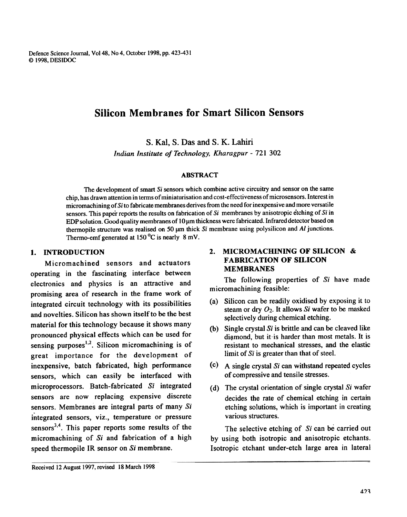Defence Science Journal, Vol 48, No 4, October 1998, pp. 423-431 <9 1998, DESlDOC

# Silicon Membranes for Smart Silicon Sensors

s. Kat, S. Das and S. K. Lahiri

Indian Institute of Technology, Kharagpur- 721 302

#### ABSTRACT

The development of smart Si sensors which combine active circuitry and sensor on the same chip, has drawn attention in terms ofminiaturisation and cost-effectiveness of microsensors. Interest in micromachining of Si to fabricate membranes derives from the need for inexpensive and more versatile sensors. This paper reports the results on fabrication of  $Si$  membranes by anisotropic etching of  $Si$  in EDP solution. Good quality membranes of  $10 \mu m$  thickness were fabricated. Infrared detector based on thermopile structure was realised on 50  $\mu$ m thick Si membrane using polysilicon and Al junctions. Thermo-emf generated at  $150^{\circ}$ C is nearly 8 mV.

### I. INTRODUCTION

Micromachined sensors and actuators operating in the fascinating interface between electronics and physics is an attractive and promising area of research in the frame work of integrated circuit technology with its possibilities and novelties. Silicon has shown itself to be the best material for this technology because it shows many pronounced physical effects which can be used for sensing purposes<sup>1,2</sup>. Silicon micromachining is of great importance for the development of inexpensive, batch fabricated, high performance sensors, which can easily be interfaced with microprocessors. Batch-fabricated Si integrated sensors are now replacing expensive discrete sensors. Membranes are integral parts of many Si integrated sensors, viz., temperature or pressure sensors<sup>3,4</sup>. This paper reports some results of the micromachining of Si and fabrication of a high speed thermopile IR sensor on Si membrane.

### 2. MICROMACHINING OF SILICON & FABRICATION OF SILICON MEMBRANES

The following properties of Si have made micromachining feasible:

- (a) Silicon can be readily oxidised by exposing it to steam or dry  $O_2$ . It allows Si wafer to be masked selectively during chemical etching.
- (b) Single crystal  $Si$  is brittle and can be cleaved like diamond, but it is harder than most metals. It is resistant to mechanical stresses, and the elastic limit of Si is greater than that of steel.
- (c) A single crystal  $Si$  can withstand repeated cycles of compressive and tensile stresses.
- (d) The crystal orientation of single crystal  $Si$  wafer decides the rate of chemical etching in certain etching solutions, which is important in creating various structures.

The selective etching of Si can be carried out by using both isotropic and anisotropic etchants. Isotropic etchant under-etch large area in lateral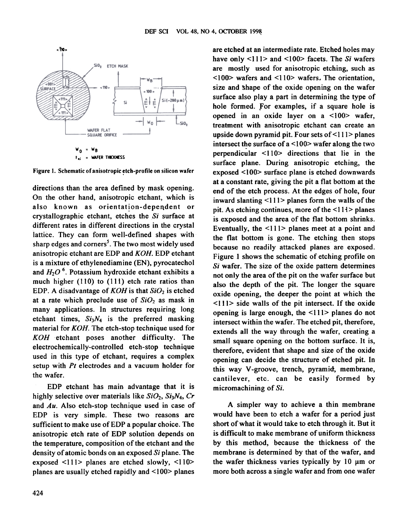

Figure 1. Schematic of anisotropic etch-profile on silicon wafer

directions than the area defined by mask opening. On the other hand, anisotropic etchant, which is also known as orientation-dependent or crystallographic etchant, etches the Si surface at different rates in different directions in the crystal lattice. They can form well-defined shapes with sharp edges and corners<sup>5</sup>. The two most widely used anisotropic etchant are EDP and KOH. EDP etchant is a mixture of ethylenediamine (EN), pyrocatechol and  $H_2O<sup>6</sup>$ . Potassium hydroxide etchant exhibits a much higher (110) to (111) etch rate ratios than EDP. A disadvantage of  $KOH$  is that  $SiO<sub>2</sub>$  is etched at a rate which preclude use of  $SiO<sub>2</sub>$  as mask in many applications. In structures requiring long etchant times,  $Si<sub>3</sub>N<sub>4</sub>$  is the preferred masking material for KOH. The etch-stop technique used for KOH etchant poses another difficulty. The electrochemically-controlled etch-stop technique used in this type of etchant, requires a complex setup with  $Pt$  electrodes and a vacuum holder for the wafer.

EDP etchant has main advantage that it is highly selective over materials like  $SiO_2$ ,  $Si<sub>3</sub>N<sub>4</sub>$ , Cr and Au. Also etch-stop technique used in case of EDP is very simple. These two reasons are sufficient to make use of EDP a popular choice. The anisotropic etch rate of EDP solution depends on the temperature, composition of the etchant and the density of atomic bonds on an exposed Si plane. The exposed <111> planes are etched slowly, <110> planes are usually etched rapidly and  $\leq 100$  planes

have only  $\leq$ 111> and  $\leq$ 100> facets. The Si wafers are mostly used for anisotropic etching, such as <100> wafers and <110> wafers. The orientation, size and shape of the oxide opening on the wafer surface also play a part in determining the type of hole formed. For examples, if a square hole is opened in an oxide layer on a  $\leq 100$  wafer, treatment with anisotropic etchant can create an upside down pyramid pit. Four sets of <111> planes intersect the surface of a  $\langle 100 \rangle$  wafer along the two perpendicular < 110> directions that lie in the surface plane. During anisotropic etching, the exposed <100> surface plane is etched downwards at a constant rate, giving the pit a flat bottom at the end of the etch process. At the edges of hole, four inward slanting  $\leq$ 111> planes form the walls of the pit. As etching continues, more of the  $\leq$ 111> planes is exposed and the area of the flat bottom shrinks. Eventually, the <111> planes meet at a point and the flat bottom is gone. The etching then stops because no readily attacked planes are exposed. Figure 1 shows the schematic of etching profile on  $Si$  wafer. The size of the oxide pattern determines not only the area of the pit on the wafer surface but also the depth of the pit. The longer the square oxide opening, the deeper the point at which the  $\le$ 111> side walls of the pit intersect. If the oxide opening is large enough, the  $\leq$ 111 $>$  planes do not intersect within the wafer. The etched pit, therefore, extends all the way through the wafer, creating a small square opening on the bottom surface. It is, therefore, evident that shape and size of the oxide opening can decide the structure of etched pit. In this way V-groove, trench, pyramid, membrane, cantilever, etc. can be easily formed by micromachining of Si.

A simpler way to achieve a thin membrane would have been to etch a wafer for a period just short of what it would take to etch through it. But it is difficult to make membrane of uniform thickness by this method, because the thickness of the membrane is determined by that of the wafer, and the wafer thickness varies typically by  $10 \mu m$  or more both across a single wafer and from one wafer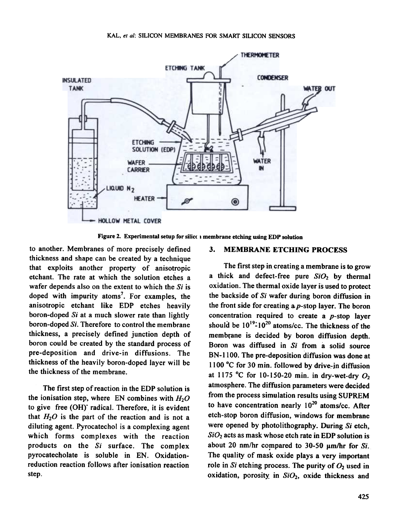

Figure 2. Experimental setup for silico i membrane etching using EDP solution

to another. Membranes of more precisely defined thickness and shape can be created by a technique that exploits another property of anisotropic etchant. The rate at which the solution etches a wafer depends also on the extent to which the  $Si$  is doped with impurity atoms<sup>7</sup>. For examples, the anisotropic etchant like EDP etches heavily boron-doped Si at a much slower rate than lightly boron-doped Si. Therefore to control the membrane thickness, a precisely defined junction depth of boron could be created by the standard process of pre-deposition and drive-in diffusions. The thickness of the heavily boron-doped layer will be the thickness of the membrane.

The first step of reaction in the EDP solution is the ionisation step, where EN combines with  $H_2O$ to give free (OH) radical. Therefore, it is evident that  $H_2O$  is the part of the reaction and is not a diluting agent. Pyrocatechol is a complexing agent which forms complexes with the reaction products on the Si surface. The complex pyrocatecholate is soluble in EN. Oxidationreduction reaction follows after ionisation reaction step.

### 3. MEMBRANE ETCHING PROCESS

The first step in creating a membrane is to grow a thick and defect-free pure  $SiO<sub>2</sub>$  by thermal oxidation. The thermal oxide layer is used to protect the backside of Si wafer during boron diffusion in the front side for creating a  $p$ -stop layer. The boron concentration required to create a p-stop layer should be  $10^{19}$ - $10^{20}$  atoms/cc. The thickness of the membfane is decided by boron diffusion depth. Boron was diffused in Si from a solid source BN-IIOO. The pre-deposition diffusion was done at 1100 °C for 30 min. followed by drive-in diffusion at 1175 °C for 10-150-20 min. in dry-wet-dry  $O_2$ atmosphere. The diffusion parameters were decided from the process simulation results using SUPREM to have concentration nearly  $10^{20}$  atoms/cc. After etch-stop boron diffusion, windows for membrane were opened by photolithography. During Si etch,  $SiO<sub>2</sub>$  acts as mask whose etch rate in EDP solution is about 20 nm/hr compared to 30-50  $\mu$ m/hr for Si. The quality of mask oxide plays a very important role in Si etching process. The purity of  $O_2$  used in oxidation, porosity in  $SiO<sub>2</sub>$ , oxide thickness and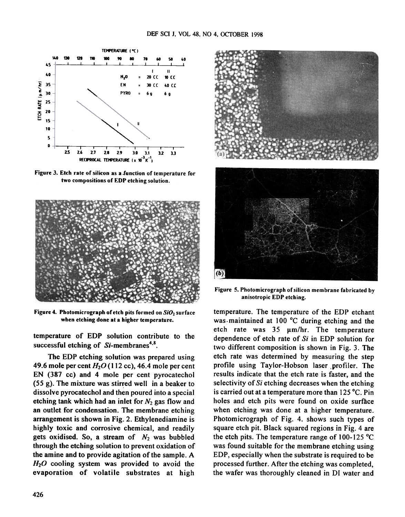

Figure 3. Etch rate of silicon as a function of temperature for two compositions or EDP etching solution.



Figure 4. Photomicrograph of etch pits formed on  $SiO<sub>2</sub>$  surface when etching done at a higher temperature.

temperature of EDP solution contribute to the successful etching of  $Si$ -membranes<sup>4,8</sup>.

The EDP etching solution was prepared using 49.6 mole per cent  $H<sub>2</sub>O$  (112 cc), 46.4 mole per cent EN (387 cc) and 4 mole per cent pyrocatechol  $(55 g)$ . The mixture was stirred well in a beaker to dissolve pyrocatechol and then poured into a special etching tank which had an inlet for  $N_2$  gas flow and an outlet for condensation. The membrane etching arrangement is shown in Fig. 2. Ethylenediamine is highly toxic and corrosive chemical, and readily gets oxidised. So, a stream of  $N_2$  was bubbled through the etching solution to prevent oxidation of the amine and to provide agitation of the sample. A  $H<sub>2</sub>O$  cooling system was provided to avoid the evaporation of volatile substrates at high



Figure 5. Photomicrograph of silicon membrane fabricated by anisotropic EDP etching.

temperature. The temperature of the EDP etchant was. maintained at 100 °C during etching and the etch rate was  $35 \mu m/hr$ . The temperature dependence of etch rate of Si in EDP solution for two different composition is shown in Fig. 3. The etch rate was determined by measuring the step profile using Taylor-Hobson laser profiler. The results indicate that the etch rate is faster, and the selectivity of Si etching decreases when the etching is carried out at a temperature more than 125 °C. Pin holes and etch pits were found on oxide surface when etching was done at a higher temperature. Photomicrograph of Fig. 4. shows such types of square etch pit. Black squared regions in Fig. 4 are the etch pits. The temperature range of 100-125 °C was found suitable for the membrane etching using EDP, especially when the substrate is required to be processed further. After the etching was completed, the wafer was thoroughly cleaned in Dl water and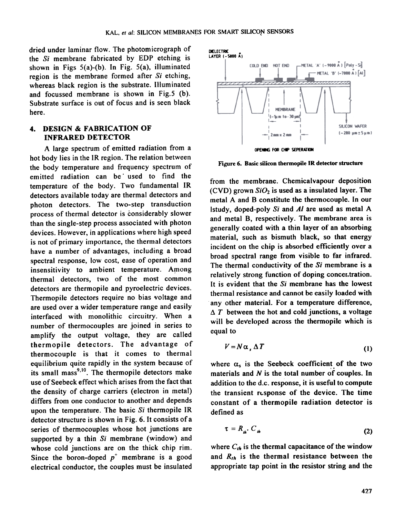dried under laminar flow. The photomicrograph of the Si membrane fabricated by EDP etching is shown in Figs 5(a)-(b). In Fig. 5(a), illuminated region is the membrane formed after  $Si$  etching, whereas black region is the substrate. Illuminated and focussed membrane is shown in Fig.5 (b). Substrate surface is out of focus and is seen black here.

### 4. DESIGN & FABRICATION OF INFRARED DETECTOR

A large spectrum of emitted radiation from a hot body lies in the IR region. The relation between the body temperature and frequency spectrum of emitted radiation can be used to find the temperature of the body. Two fundamental IR detectors available today are thermal detectors and photon detectors. The two-step transduction process of thermal detector is considerably slower than the single-step process associated with photon devices. However, in applications where high speed is not of primary importance, the thermal detectors have a number of advantages, including a broad spectral response, low cost, ease of operation and insensitivity to ambient temperature. Among thermal detectors, two of the most common detectors are thermopile and pyroelectric devices. Thermopile detectors require no bias voltage and are used over a wider temperature range and easily interfaced with monolithic circuitry. When a number of thermocouples are joined in series to amplify the output voltage, they are called thermopile detectors. The advantage of thermocouple is that it comes to thermal equilibrium quite rapidly in the system because of its small mass<sup>9,10</sup>. The thermopile detectors make use of Seebeck effect which arises from the fact that the density of charge carriers (electron in metal) differs from one conductor to another and depends upon the temperature. The basic  $Si$  thermopile IR detector structure is shown in Fig. 6. It consists of a series of thermocouples whose hot junctions are supported by a thin Si membrane (window) and whose cold junctions are on the thick chip rim. Since the boron-doped  $p^+$  membrane is a good electrical conductor, the couples must be insulated



Figure 6. Basic silicon thermopile IR detector structure

from the membrane. Chemicalvapour deposition (CVD) grown  $SiO<sub>2</sub>$  is used as a insulated layer. The metal A and B constitute the thermocouple. In our Istudy, doped-poly  $Si$  and  $Al$  are used as metal A and metal B, respectively. The membrane area is generally coated with a thin layer of an absorbing material, such as bismuth black. so that energy incident on the chip is absorbed efficiently over a broad spectral range from visible to far infrared. The thermal conductivity of the Si membrane is a relatively strong function of doping concer.tration. It is evident that the  $Si$  membrane has the lowest thermal resistance and cannot be easily loaded with any other material. For a temperature difference.  $\Delta T$  between the hot and cold junctions, a voltage will be developed across the thermopile which is equal to

$$
V = N\alpha_s \Delta T \tag{1}
$$

where  $\alpha_s$  is the Seebeck coefficient of the two materials and  $N$  is the total number of couples. In addition to the d.c. response, it is useful to compute the transient response of the device. The time constant of a thermopile radiation detector is defined as

$$
\tau = R_{\mu} C_{\mu}
$$
 (2)

where  $C_{th}$  is the thermal capacitance of the window and  $R_{th}$  is the thermal resistance between the appropriate tap point in the resistor string and the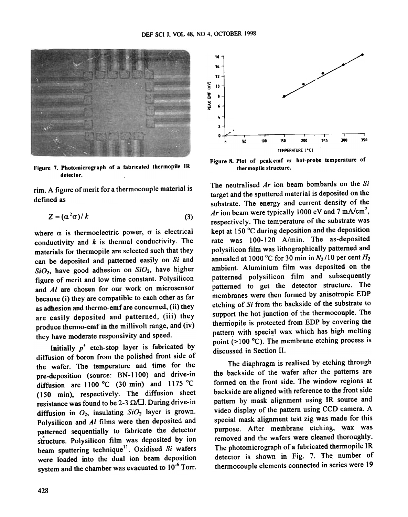

Figure 7. Photomicrograph of a fabricated thermopile IR detector.

rim. A figure of merit for a thermocouple material is defined as

$$
Z = (\alpha^2 \sigma) / k \tag{3}
$$

where  $\alpha$  is thermoelectric power,  $\sigma$  is electrical conductivity and  $k$  is thermal conductivity. The materials for thermopile are selected such that they can be deposited and patterned easily on Si and  $SiO<sub>2</sub>$ , have good adhesion on  $SiO<sub>2</sub>$ , have higher figure of merit and low time constant. Polysilicon and Al are chosen for our work on microsensor because (i) they are compatible to each other as far as adhesion and thermo-emf are concerned, (ii) they are easily deposited and patterned, (iii) they produce thermo-emf in the millivolt range, and (iv) they have moderate responsivity and speed.

Initially  $p^+$  etch-stop layer is fabricated by diffusion of boron from the polished front side of the wafer. The temperature and time for the pre-deposition (source: BN-IIOO) and drive-in diffusion are 1100 °C (30 min) and 1175 °C (150 min), respectively. The diffusion sheet resistance was found to be 2-3  $\Omega/\Box$ . During drive-in diffusion in  $O_2$ , insulating  $SiO_2$  layer is grown. Polysilicon and A/ films were then deposited and patterned sequentially to fabricate the detector patterned sequentiarly to recreate the correlation beam sputtering technique<sup>11</sup>. Oxidised Si wafers were loaded into the dual ion beam deposition system and the chamber was evacuated to  $10^{-6}$  Torr.



Figure 8. Plot of peak emf vs hot-probe temperature of thermopile structure.

The neutralised  $Ar$  ion beam bombards on the Si target ahd the sputtered material is deposited on the substrate. The energy and current density of the Ar ion beam were typically 1000 eV and  $7 \text{ mA/cm}^2$ , respectively. The temperature of the substrate was kept at 150 °C during deposition and the deposition rate was 100-120 A/min. The as-deposited polysilicon film was lithographically patterned and annealed at 1000 °C for 30 min in  $N_2/10$  per cent  $H_2$ ambient. Aluminium film was deposited on the patterned polysilicon film and subsequently patterned to get the detector structure. The membranes were then formed by anisotropic EDP etching of Si from the backside of the substrate to support the hot junction of the thermocouple. The thermopile is protected from EDP by covering the pattern with special wax which has high melting point ( $>100$  °C). The membrane etching process is discussed in Section II.

The diaphragm is realised by etching through the backside of the wafer after the patterns are formed on the front side. The window regions at backside are aligned with reference to the front side pattern by mask alignment using IR source and video display of the pattern using CCD camera. A special mask alignment test zig was made for this purpose. After membrane etching, wax was removed and the wafers were cleaned thoroughly. The photomicrograph of a fabricated thermopile IR detector is shown in Fig. 7. The number of thermocouple elements connected in series were 19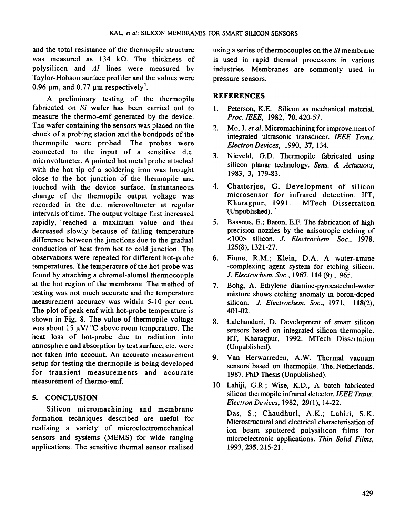and the total resistance of the thermopile structure was measured as 134 k $\Omega$ . The thickness of polysilicon and  $AI$  lines were measured by Taylor-Hobson surface profiler and the values were 0.96  $\mu$ m, and 0.77  $\mu$ m respectively<sup>4</sup>.

A preliminary testing of the thermopile fabricated on Si wafer has been carried out to measure the thermo-emf generated by the device. The wafer containing the sensors was placed on the chuck of a probing station and the bondpods of the thermopile were probed. The probes were connected to the input of a sensitive d.c. microvoltmeter. A pointed hot metal probe attached with the hot tip of a soldering iron was brought close to the hot junction of the thermopile and touched with the device surface. Instantaneous change of the thermopile output voltage  $\mathbf{w}$ as recorded in the d.c. microvoltmeter at regular intervals of time. The output voltage first increased rapidly, reached a maximum value and then decreased slowly because of falling temperature difference between the junctions due to the gradual conduction of heat from hot to cold junction. The observations were repeated for different hot-probe temperatures. The temperature of the hot-probe was found by attaching a chromel-alumel thermocouple at the hot region of the membrane. The method of testing was not much accurate and the temperature measurement accuracy was within 5-10 per cent. The plot of peak emf with hot-probe temperature is shown in Fig. 8. The value of thermopile voltage was about 15  $\mu$ V/ °C above room temperature. The heat loss of hot-probe due to radiation into atmosphere and absorption by test surface, etc. were not taken into account. An accurate measurement setup for testing the thermopile is being developed for transient measurements and accurate measurement of thermo-emf.

### 5. CONCLUSION

Silicon micromachining and membrane formation techniques described are useful for realising a variety of microelectromechanical sensors and systems (MEMS) for wide ranging applications. The sensitive thermal sensor realised

using a series of thermocouples on the  $Si$  membrane is used in rapid thermal processors in various industries. Membranes are commonly used in pressure sensors.

## **REFERENCES**

- 1. Peterson, K.E. Silicon as mechanical material. Proc. IEEE, 1982, 70, 420-57.
- 2. Mo, J. et al. Micromachining for improvement of integrated ultrasonic transducer. IEEE Trans. Electron Devices, 1990, 37, 134.
- 3. Nieveld, G.D. Thermopile fabricated using silicon planar technology. Sens. & Actuators, 1983,3,179-83.
- 4. Chatterjee, G. Development of silicon microsensor for infrared detection. IIT, Kharagpur, 1991. MTech Dissertation (Unpublished).
- 5. Bassous, E.; Baron, E.F. The fabrication of high precision nozzles by the anisotropic etching of <100> silicon. J. Electrochem. Soc., 1978, 125(8), 1321-27.
- 6. Finne, R.M.; Klein, D.A. A water-amine -complexing agent system for etching silicon. J. Electrochem. Soc., 1967,114 (9) , 965.
- 7. Bohg, A. Ethylene diamine-pyrocatechol-water mixture shows etching anomaly in boron-doped silicon. *J. Electrochem. Soc.*, 1971, 118(2), 401-02.
- 8. Lalchandani, D. Development of smart silicon sensors based on integrated silicon thermopile. HT, Kharagpur, 1992. MTech Dissertation (Unpublished).
- 9. Van Herwarreden, A.W. Thermal vacuum sensors based on thermopile. The. Netherlands, 1987. PhD Thesis (Unpublished).
- 10. Lahiji, G.R.; Wise, K.D., A batch fabricated silicon thermopile infrared detector. IEEE Trans. Electron Devices, 1982, 29(1), 14-22.

Das, S.; Chaudhuri, A.K.; Lahiri, S.K. Microstructural and electrical characterisation of ion beam sputtered polysilicon films for microelectronic applications. Thin Solid Films, 1993, 235, 215-21.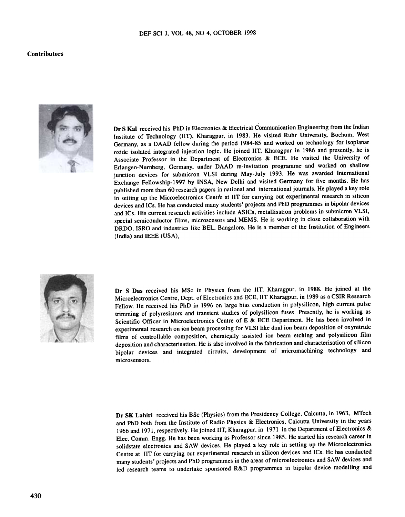#### Contributors



Dr S Kal received his PhD in Electronics & Electrical Communication Engineering from the Indian Institute of Technology (lIT). Kharagpur. in 1983. He visited Ruhr University, Bochum, West Germany. as a DAAD fellow during the period 1984-85 and worked on technology for isoplanar oxide isolated integrated injection logic. He joined lIT, Kharagpur in 1986 and presently. he is Associate Professor in the Department of Electronics & ECE. He visited the University of Erlangen-Nurnberg. Germany. under DAAD re-invitation programme and worked on shallow junction devices for submicron VLSI during May-July 1993. He was awarded International Exchange Fellowship-1997 by INSA. New Delhi and visited Germany for five months. He has published more than 60 research papers in national and international journals. He played a key role in setting up the Microelectronics Centfe at IIT for carrying out experimental research in silicon devices and ICs. He has conducted many students' projects and PhD programmes in bipolar devices and ICs. His current research activities include ASICs. metallisation problems in submicron VLSI. special semiconductor films. microsensors and MEMS. He is working in close collaboration with DRDO. ISRO and industries like BEL. Bangalore. He is a member of the Institution of Engineers (India) and IEEE (USA).



Dr S Das received his MSc in Physics from the IIT, Kharagpur, in 1988. He joined at the Microelectronics Centre, Dept. of Electronics and ECE, IIT Kharagpur, in 1989 as a CSIR Research Fellow. He received his PhD in 1996 on large bias conduction in polysilicon, high current pulse trimming of polyresistors and transient studies of polysilicon fuses. Presently, he is working as Scientific Officer in Microelectronics Centre of E & ECE Department. He has been involved in experimental research on ion beam processing for VLSI like dual ion beam deposition of oxynitride films of controllable composition, chemically assisted ion beam etching and polysilicon film deposition and characterisation. He is also involved in the fabrication and characterisation of silicon bipolar devices and integrated circuits, development of micromachining technology and microsensors.

Dr SK Lahiri received his BSc (Physics) from the Presidency College, Calcutta, in 1963, MTech and PhD both from the Institute of Radio Physics & Electronics, Calcutta University in the years 1966 and 1971, respectively. He joined lIT, Kharagpur, in 1971 in the Department of Electronics & Elec. Comm. Engg. He has been working as Professor since 1985. He started his research career in solidstate electronics and SAW devices. He played a key role in setting up the Microelectronics Centre at lIT for carrying out experimental research in silicon devices and ICs. He has conducted many students' projects and PhD programmes in the areas of microelectronics and SAW devices and led research teams to undertake sponsored R&D programmes in bipolar device modelling and